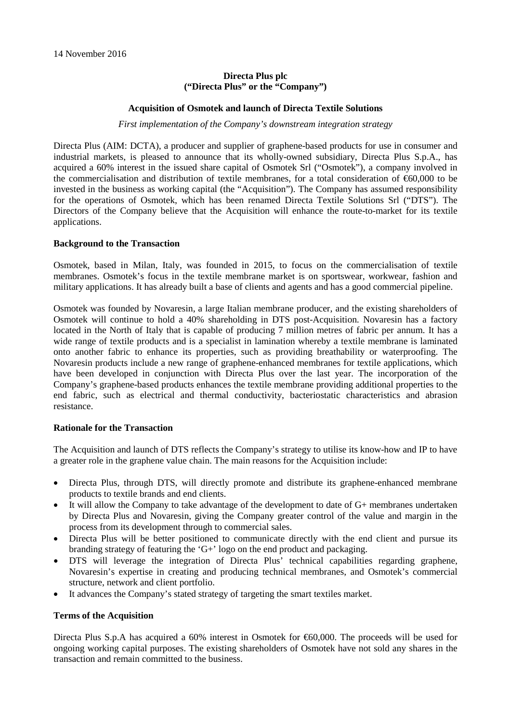# **Directa Plus plc ("Directa Plus" or the "Company")**

### **Acquisition of Osmotek and launch of Directa Textile Solutions**

*First implementation of the Company's downstream integration strategy*

Directa Plus (AIM: DCTA), a producer and supplier of graphene-based products for use in consumer and industrial markets, is pleased to announce that its wholly-owned subsidiary, Directa Plus S.p.A., has acquired a 60% interest in the issued share capital of Osmotek Srl ("Osmotek"), a company involved in the commercialisation and distribution of textile membranes, for a total consideration of €60,000 to be invested in the business as working capital (the "Acquisition"). The Company has assumed responsibility for the operations of Osmotek, which has been renamed Directa Textile Solutions Srl ("DTS"). The Directors of the Company believe that the Acquisition will enhance the route-to-market for its textile applications.

### **Background to the Transaction**

Osmotek, based in Milan, Italy, was founded in 2015, to focus on the commercialisation of textile membranes. Osmotek's focus in the textile membrane market is on sportswear, workwear, fashion and military applications. It has already built a base of clients and agents and has a good commercial pipeline.

Osmotek was founded by Novaresin, a large Italian membrane producer, and the existing shareholders of Osmotek will continue to hold a 40% shareholding in DTS post-Acquisition. Novaresin has a factory located in the North of Italy that is capable of producing 7 million metres of fabric per annum. It has a wide range of textile products and is a specialist in lamination whereby a textile membrane is laminated onto another fabric to enhance its properties, such as providing breathability or waterproofing. The Novaresin products include a new range of graphene-enhanced membranes for textile applications, which have been developed in conjunction with Directa Plus over the last year. The incorporation of the Company's graphene-based products enhances the textile membrane providing additional properties to the end fabric, such as electrical and thermal conductivity, bacteriostatic characteristics and abrasion resistance.

# **Rationale for the Transaction**

The Acquisition and launch of DTS reflects the Company's strategy to utilise its know-how and IP to have a greater role in the graphene value chain. The main reasons for the Acquisition include:

- Directa Plus, through DTS, will directly promote and distribute its graphene-enhanced membrane products to textile brands and end clients.
- It will allow the Company to take advantage of the development to date of  $G<sup>+</sup>$  membranes undertaken by Directa Plus and Novaresin, giving the Company greater control of the value and margin in the process from its development through to commercial sales.
- Directa Plus will be better positioned to communicate directly with the end client and pursue its branding strategy of featuring the 'G+' logo on the end product and packaging.
- DTS will leverage the integration of Directa Plus' technical capabilities regarding graphene, Novaresin's expertise in creating and producing technical membranes, and Osmotek's commercial structure, network and client portfolio.
- It advances the Company's stated strategy of targeting the smart textiles market.

# **Terms of the Acquisition**

Directa Plus S.p.A has acquired a 60% interest in Osmotek for €60,000. The proceeds will be used for ongoing working capital purposes. The existing shareholders of Osmotek have not sold any shares in the transaction and remain committed to the business.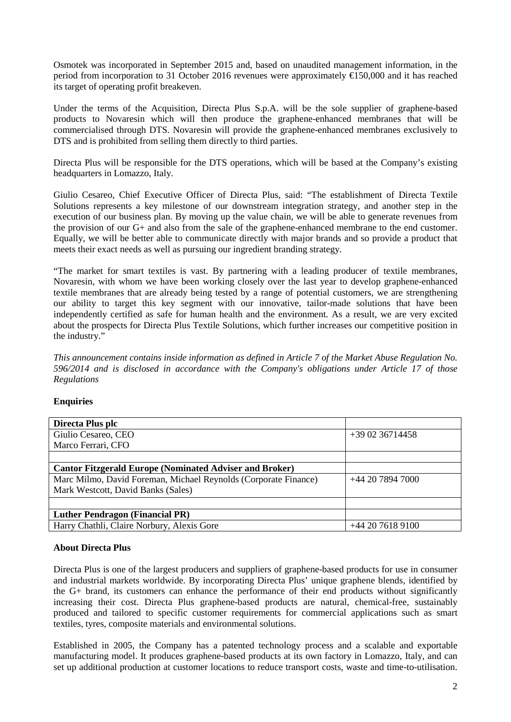Osmotek was incorporated in September 2015 and, based on unaudited management information, in the period from incorporation to 31 October 2016 revenues were approximately €150,000 and it has reached its target of operating profit breakeven.

Under the terms of the Acquisition, Directa Plus S.p.A. will be the sole supplier of graphene-based products to Novaresin which will then produce the graphene-enhanced membranes that will be commercialised through DTS. Novaresin will provide the graphene-enhanced membranes exclusively to DTS and is prohibited from selling them directly to third parties.

Directa Plus will be responsible for the DTS operations, which will be based at the Company's existing headquarters in Lomazzo, Italy.

Giulio Cesareo, Chief Executive Officer of Directa Plus, said: "The establishment of Directa Textile Solutions represents a key milestone of our downstream integration strategy, and another step in the execution of our business plan. By moving up the value chain, we will be able to generate revenues from the provision of our G+ and also from the sale of the graphene-enhanced membrane to the end customer. Equally, we will be better able to communicate directly with major brands and so provide a product that meets their exact needs as well as pursuing our ingredient branding strategy.

"The market for smart textiles is vast. By partnering with a leading producer of textile membranes, Novaresin, with whom we have been working closely over the last year to develop graphene-enhanced textile membranes that are already being tested by a range of potential customers, we are strengthening our ability to target this key segment with our innovative, tailor-made solutions that have been independently certified as safe for human health and the environment. As a result, we are very excited about the prospects for Directa Plus Textile Solutions, which further increases our competitive position in the industry."

*This announcement contains inside information as defined in Article 7 of the Market Abuse Regulation No. 596/2014 and is disclosed in accordance with the Company's obligations under Article 17 of those Regulations*

# **Enquiries**

| Directa Plus plc                                                |                  |
|-----------------------------------------------------------------|------------------|
| Giulio Cesareo, CEO                                             | $+390236714458$  |
| Marco Ferrari, CFO                                              |                  |
|                                                                 |                  |
| <b>Cantor Fitzgerald Europe (Nominated Adviser and Broker)</b>  |                  |
| Marc Milmo, David Foreman, Michael Reynolds (Corporate Finance) | +44 20 7894 7000 |
| Mark Westcott, David Banks (Sales)                              |                  |
|                                                                 |                  |
| <b>Luther Pendragon (Financial PR)</b>                          |                  |
| Harry Chathli, Claire Norbury, Alexis Gore                      | $+442076189100$  |

# **About Directa Plus**

Directa Plus is one of the largest producers and suppliers of graphene-based products for use in consumer and industrial markets worldwide. By incorporating Directa Plus' unique graphene blends, identified by the G+ brand, its customers can enhance the performance of their end products without significantly increasing their cost. Directa Plus graphene-based products are natural, chemical-free, sustainably produced and tailored to specific customer requirements for commercial applications such as smart textiles, tyres, composite materials and environmental solutions.

Established in 2005, the Company has a patented technology process and a scalable and exportable manufacturing model. It produces graphene-based products at its own factory in Lomazzo, Italy, and can set up additional production at customer locations to reduce transport costs, waste and time-to-utilisation.